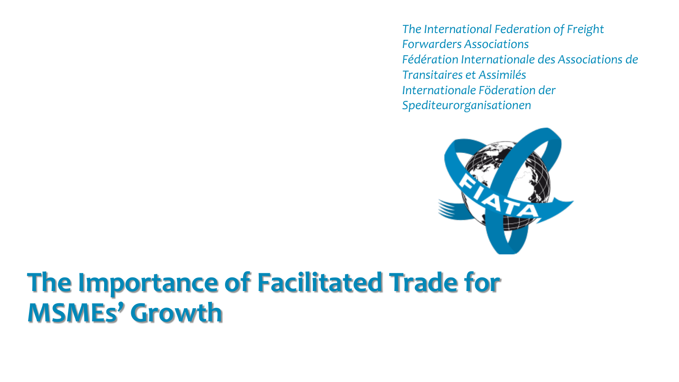*The International Federation of Freight Forwarders Associations Fédération Internationale des Associations de Transitaires et Assimilés Internationale Föderation der Spediteurorganisationen*



#### **The Importance of Facilitated Trade for MSMEs' Growth**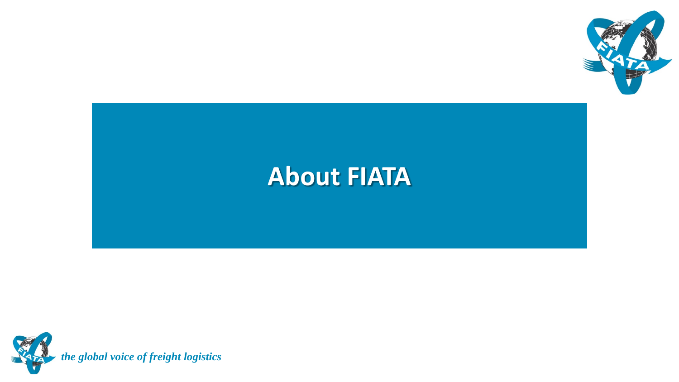

#### **About FIATA**

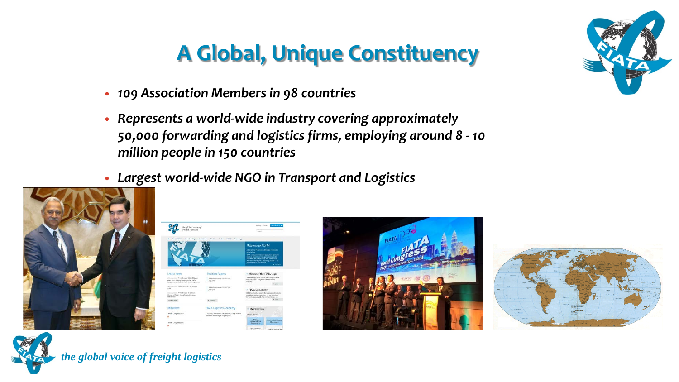#### **A Global, Unique Constituency**

- *109 Association Members in 98 countries*
- *Represents a world-wide industry covering approximately 50,000 forwarding and logistics firms, employing around 8 - 10 million people in 150 countries*
- *Largest world-wide NGO in Transport and Logistics*



| the global vatce of<br>frieger fogestern                                                                                                                                                                                                                                                                                                     |                                                                                                   | Memoral Contact<br>Joseph.                                                                                                                                                                                                                                                                                            | <b>Montan May 48</b>                                |
|----------------------------------------------------------------------------------------------------------------------------------------------------------------------------------------------------------------------------------------------------------------------------------------------------------------------------------------------|---------------------------------------------------------------------------------------------------|-----------------------------------------------------------------------------------------------------------------------------------------------------------------------------------------------------------------------------------------------------------------------------------------------------------------------|-----------------------------------------------------|
| <b>About FLATA</b><br><b>Meadwritis</b><br><b><i><u>Dentistives</u></i></b>                                                                                                                                                                                                                                                                  | <b>Newther</b><br>Links<br><b>FIRSTS</b><br>Learning.                                             | Welcome to FLATA<br><b>Edsteamleral Tedersition of Traight Termonflirs</b><br><b>AGALIATION</b><br>под предпоставки отдельно премен-<br>table as takens usering approximately at me-<br>Erwarding and Eigeners below also known as the<br>Netherical Transact', engineeg amarchi, M.<br>relies aware in 150 locaties. | * Boothbars                                         |
|                                                                                                                                                                                                                                                                                                                                              |                                                                                                   |                                                                                                                                                                                                                                                                                                                       |                                                     |
|                                                                                                                                                                                                                                                                                                                                              | <b>Position Papers</b>                                                                            | Misuse of the FIATA Logo                                                                                                                                                                                                                                                                                              |                                                     |
|                                                                                                                                                                                                                                                                                                                                              | Public Guisearances - 12:37 2016<br>3/4 2016.                                                     | The FDGA high fictual of the participant of FDRA.<br>executions and it has genus automobiles con-<br>INSHIPP <sub>ican</sub>                                                                                                                                                                                          |                                                     |
|                                                                                                                                                                                                                                                                                                                                              | Public Matements - 17.95.2016<br>349.2016                                                         | > FIATA Documents                                                                                                                                                                                                                                                                                                     | $-160x$                                             |
| <b>Latest news</b><br>2145 Alexander Dennis Referent 1822 - Chinese<br>Algoritation delivery inspective black that's<br>Europeean Gorch Trainifer Trainic Programmer<br>recommendates C-Hands May 136-54 Cutadore<br>At Mr.<br>International Prints Release 16 Christien -<br>Werner of FixTa's riming Forecardor Award<br><b>Endrichted</b> |                                                                                                   | establish a exclurer standard for use by tryingle<br>flyworld's worldwide. The distuments are                                                                                                                                                                                                                         | ISA'A NAI CHIATHO americ discompany's and turned by |
| or Minn harm.                                                                                                                                                                                                                                                                                                                                | W your at                                                                                         |                                                                                                                                                                                                                                                                                                                       | $+10$                                               |
|                                                                                                                                                                                                                                                                                                                                              | <b>FIATA Logistics Academy</b>                                                                    | Membership                                                                                                                                                                                                                                                                                                            |                                                     |
| <b>Initiatives</b><br>finitid Congress 2017                                                                                                                                                                                                                                                                                                  | A Standing Contention of FMJA working to help promote<br>education and viagoriz in frends wanted. | <b>Olivia Librarian</b>                                                                                                                                                                                                                                                                                               |                                                     |







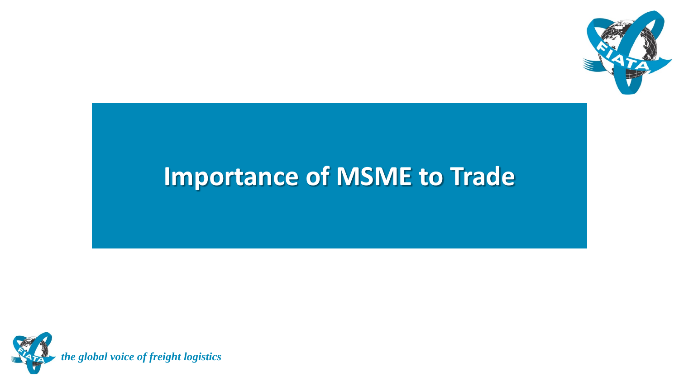

#### **Importance of MSME to Trade**

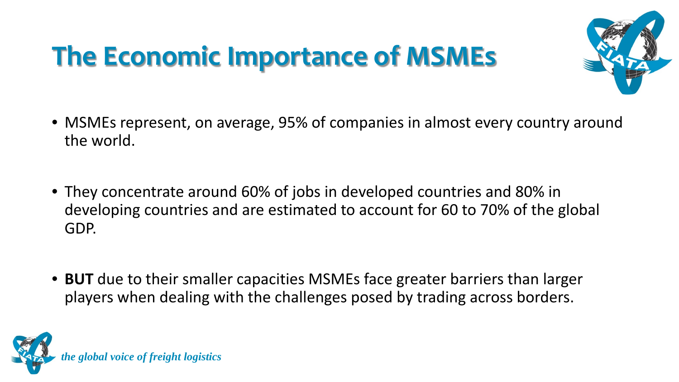# **The Economic Importance of MSMEs**



- MSMEs represent, on average, 95% of companies in almost every country around the world.
- They concentrate around 60% of jobs in developed countries and 80% in developing countries and are estimated to account for 60 to 70% of the global GDP.
- **BUT** due to their smaller capacities MSMEs face greater barriers than larger players when dealing with the challenges posed by trading across borders.

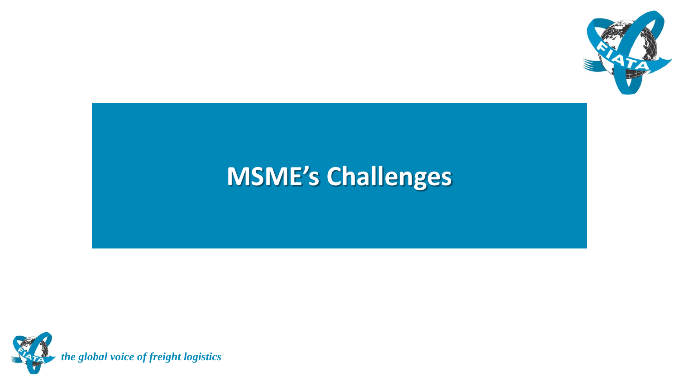

#### **MSME's Challenges**

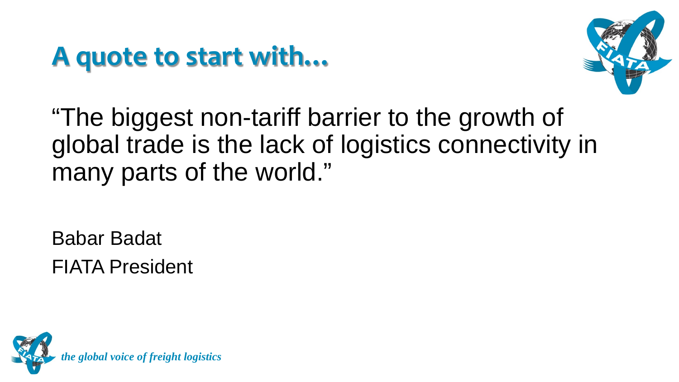#### **A quote to start with…**



"The biggest non-tariff barrier to the growth of global trade is the lack of logistics connectivity in many parts of the world."

Babar Badat FIATA President

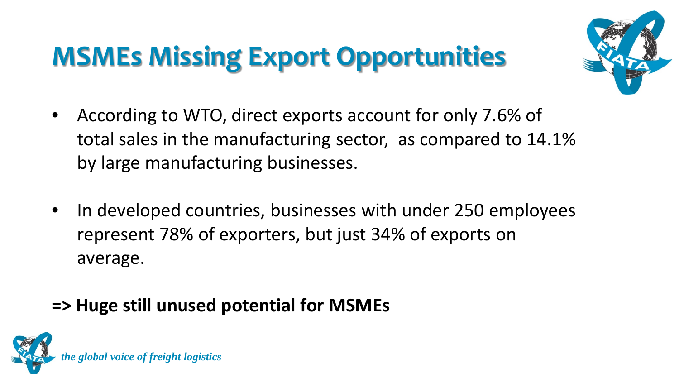# **MSMEs Missing Export Opportunities**



- According to WTO, direct exports account for only 7.6% of total sales in the manufacturing sector, as compared to 14.1% by large manufacturing businesses.
- In developed countries, businesses with under 250 employees represent 78% of exporters, but just 34% of exports on average.

#### **=> Huge still unused potential for MSMEs**

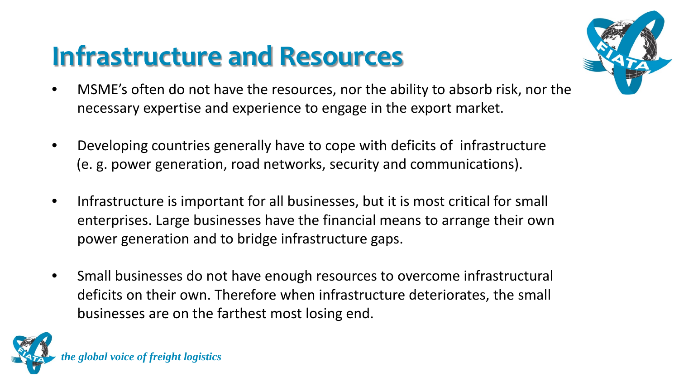## **Infrastructure and Resources**



- MSME's often do not have the resources, nor the ability to absorb risk, nor the necessary expertise and experience to engage in the export market.
- Developing countries generally have to cope with deficits of infrastructure (e. g. power generation, road networks, security and communications).
- Infrastructure is important for all businesses, but it is most critical for small enterprises. Large businesses have the financial means to arrange their own power generation and to bridge infrastructure gaps.
- Small businesses do not have enough resources to overcome infrastructural deficits on their own. Therefore when infrastructure deteriorates, the small businesses are on the farthest most losing end.

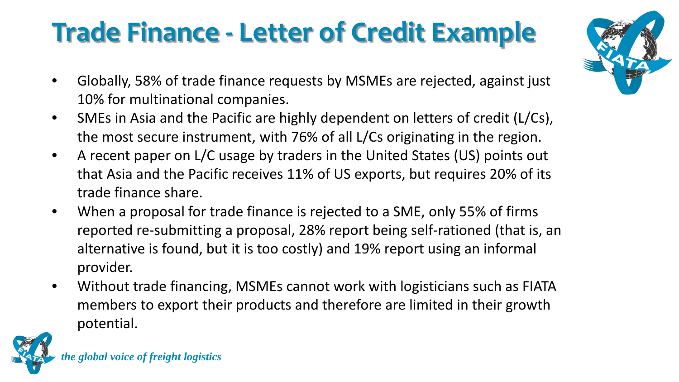# **Trade Finance - Letter of Credit Example**

- Globally, 58% of trade finance requests by MSMEs are rejected, against just 10% for multinational companies.
- SMEs in Asia and the Pacific are highly dependent on letters of credit (L/Cs), the most secure instrument, with 76% of all L/Cs originating in the region.
- A recent paper on L/C usage by traders in the United States (US) points out that Asia and the Pacific receives 11% of US exports, but requires 20% of its trade finance share.
- When a proposal for trade finance is rejected to a SME, only 55% of firms reported re-submitting a proposal, 28% report being self-rationed (that is, an alternative is found, but it is too costly) and 19% report using an informal provider.
- Without trade financing, MSMEs cannot work with logisticians such as FIATA members to export their products and therefore are limited in their growth potential.



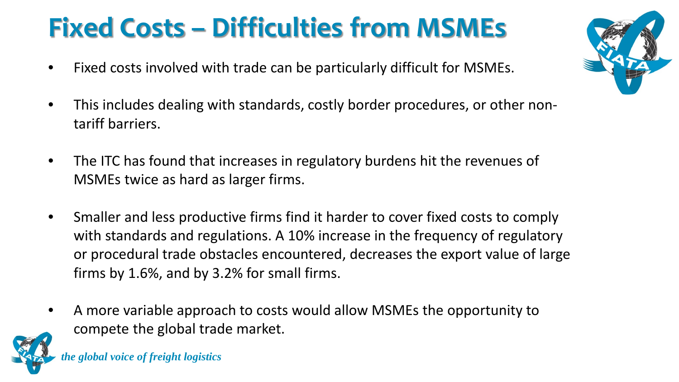# **Fixed Costs – Difficulties from MSMEs**

- Fixed costs involved with trade can be particularly difficult for MSMEs.
- This includes dealing with standards, costly border procedures, or other nontariff barriers.
- The ITC has found that increases in regulatory burdens hit the revenues of MSMEs twice as hard as larger firms.
- Smaller and less productive firms find it harder to cover fixed costs to comply with standards and regulations. A 10% increase in the frequency of regulatory or procedural trade obstacles encountered, decreases the export value of large firms by 1.6%, and by 3.2% for small firms.
- A more variable approach to costs would allow MSMEs the opportunity to compete the global trade market.

*the global voice of freight logistics*

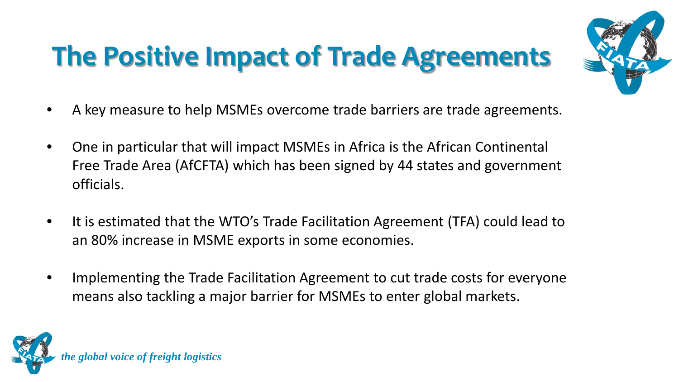# **The Positive Impact of Trade Agreements**



- A key measure to help MSMEs overcome trade barriers are trade agreements.
- One in particular that will impact MSMEs in Africa is the African Continental Free Trade Area (AfCFTA) which has been signed by 44 states and government officials.
- It is estimated that the WTO's Trade Facilitation Agreement (TFA) could lead to an 80% increase in MSME exports in some economies.
- Implementing the Trade Facilitation Agreement to cut trade costs for everyone means also tackling a major barrier for MSMEs to enter global markets.

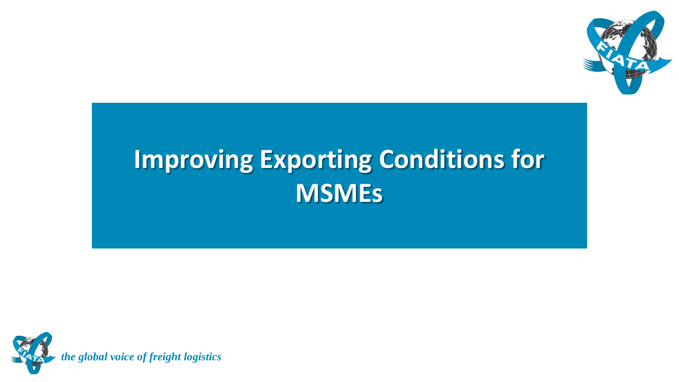

### **Improving Exporting Conditions for MSMEs**

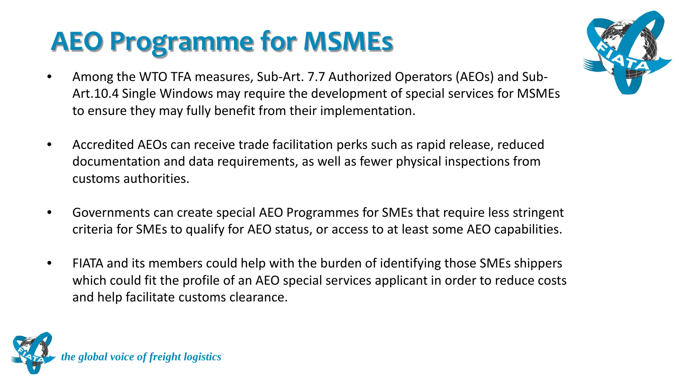# **AEO Programme for MSMEs**

- Among the WTO TFA measures, Sub-Art. 7.7 Authorized Operators (AEOs) and Sub-Art.10.4 Single Windows may require the development of special services for MSMEs to ensure they may fully benefit from their implementation.
- Accredited AEOs can receive trade facilitation perks such as rapid release, reduced documentation and data requirements, as well as fewer physical inspections from customs authorities.
- Governments can create special AEO Programmes for SMEs that require less stringent criteria for SMEs to qualify for AEO status, or access to at least some AEO capabilities.
- FIATA and its members could help with the burden of identifying those SMEs shippers which could fit the profile of an AEO special services applicant in order to reduce costs and help facilitate customs clearance.



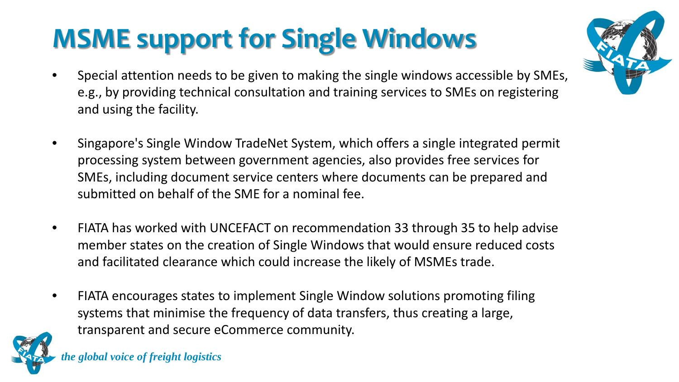# **MSME support for Single Windows**

- Special attention needs to be given to making the single windows accessible by SMEs, e.g., by providing technical consultation and training services to SMEs on registering and using the facility.
- Singapore's Single Window TradeNet System, which offers a single integrated permit processing system between government agencies, also provides free services for SMEs, including document service centers where documents can be prepared and submitted on behalf of the SME for a nominal fee.
- FIATA has worked with UNCEFACT on recommendation 33 through 35 to help advise member states on the creation of Single Windows that would ensure reduced costs and facilitated clearance which could increase the likely of MSMEs trade.
- FIATA encourages states to implement Single Window solutions promoting filing systems that minimise the frequency of data transfers, thus creating a large, transparent and secure eCommerce community.

*the global voice of freight logistics*

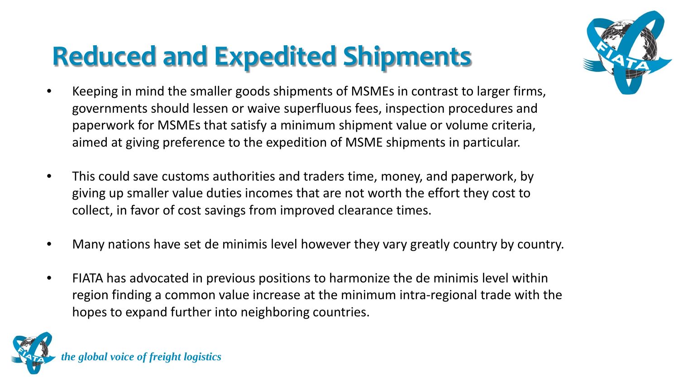# **Reduced and Expedited Shipments**



- Keeping in mind the smaller goods shipments of MSMEs in contrast to larger firms, governments should lessen or waive superfluous fees, inspection procedures and paperwork for MSMEs that satisfy a minimum shipment value or volume criteria, aimed at giving preference to the expedition of MSME shipments in particular.
- This could save customs authorities and traders time, money, and paperwork, by giving up smaller value duties incomes that are not worth the effort they cost to collect, in favor of cost savings from improved clearance times.
- Many nations have set de minimis level however they vary greatly country by country.
- FIATA has advocated in previous positions to harmonize the de minimis level within region finding a common value increase at the minimum intra-regional trade with the hopes to expand further into neighboring countries.

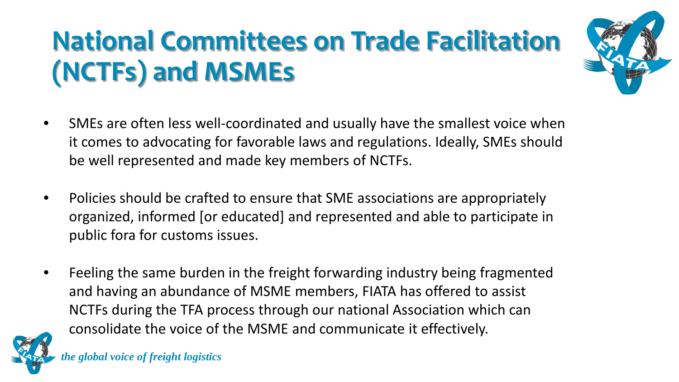# **National Committees on Trade Facilitation (NCTFs) and MSMEs**



- SMEs are often less well-coordinated and usually have the smallest voice when it comes to advocating for favorable laws and regulations. Ideally, SMEs should be well represented and made key members of NCTFs.
- Policies should be crafted to ensure that SME associations are appropriately organized, informed [or educated] and represented and able to participate in public fora for customs issues.
- Feeling the same burden in the freight forwarding industry being fragmented and having an abundance of MSME members, FIATA has offered to assist NCTFs during the TFA process through our national Association which can consolidate the voice of the MSME and communicate it effectively.

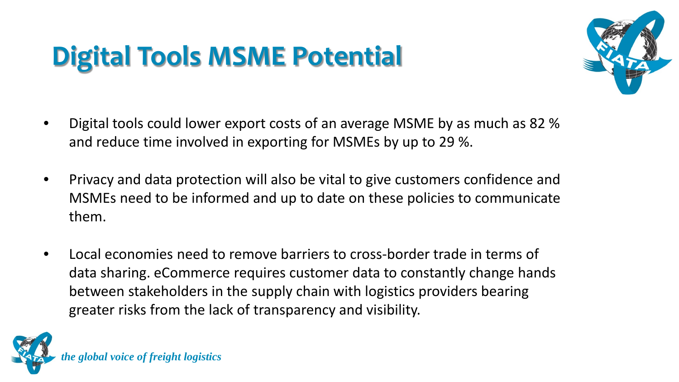# **Digital Tools MSME Potential**



- Digital tools could lower export costs of an average MSME by as much as 82 % and reduce time involved in exporting for MSMEs by up to 29 %.
- Privacy and data protection will also be vital to give customers confidence and MSMEs need to be informed and up to date on these policies to communicate them.
- Local economies need to remove barriers to cross-border trade in terms of data sharing. eCommerce requires customer data to constantly change hands between stakeholders in the supply chain with logistics providers bearing greater risks from the lack of transparency and visibility.

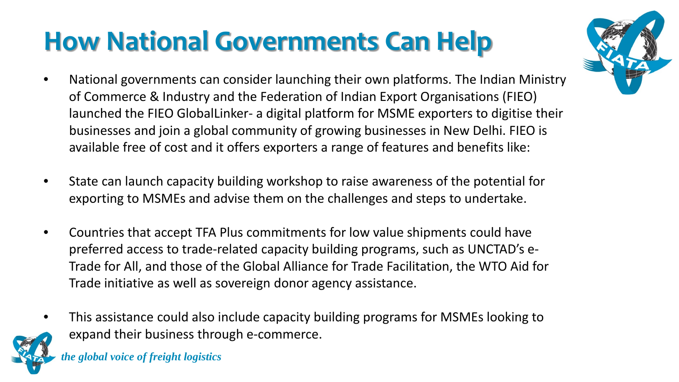# **How National Governments Can Help**

- National governments can consider launching their own platforms. The Indian Ministry of Commerce & Industry and the Federation of Indian Export Organisations (FIEO) launched the FIEO GlobalLinker- a digital platform for MSME exporters to digitise their businesses and join a global community of growing businesses in New Delhi. FIEO is available free of cost and it offers exporters a range of features and benefits like:
- State can launch capacity building workshop to raise awareness of the potential for exporting to MSMEs and advise them on the challenges and steps to undertake.
- Countries that accept TFA Plus commitments for low value shipments could have preferred access to trade-related capacity building programs, such as UNCTAD's e-Trade for All, and those of the Global Alliance for Trade Facilitation, the WTO Aid for Trade initiative as well as sovereign donor agency assistance.
- This assistance could also include capacity building programs for MSMEs looking to expand their business through e-commerce.

*the global voice of freight logistics*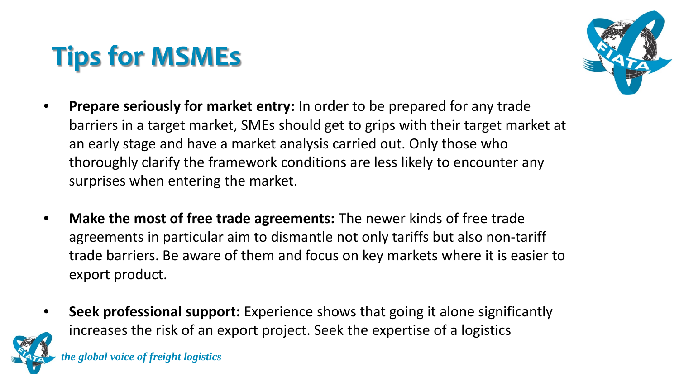# **Tips for MSMEs**



- **Prepare seriously for market entry:** In order to be prepared for any trade barriers in a target market, SMEs should get to grips with their target market at an early stage and have a market analysis carried out. Only those who thoroughly clarify the framework conditions are less likely to encounter any surprises when entering the market.
- **Make the most of free trade agreements:** The newer kinds of free trade agreements in particular aim to dismantle not only tariffs but also non-tariff trade barriers. Be aware of them and focus on key markets where it is easier to export product.
- **Seek professional support:** Experience shows that going it alone significantly increases the risk of an export project. Seek the expertise of a logistics

*the global voice of freight logistics*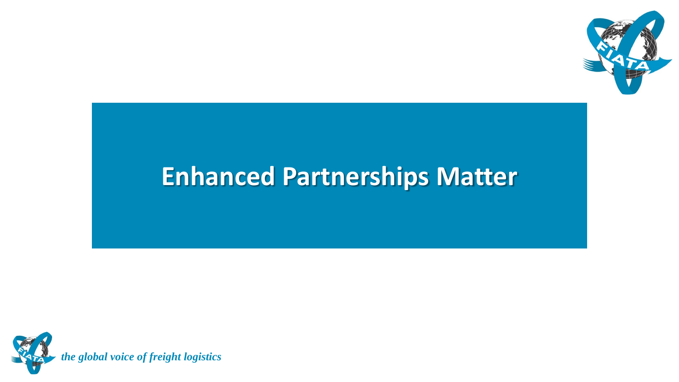

#### **Enhanced Partnerships Matter**

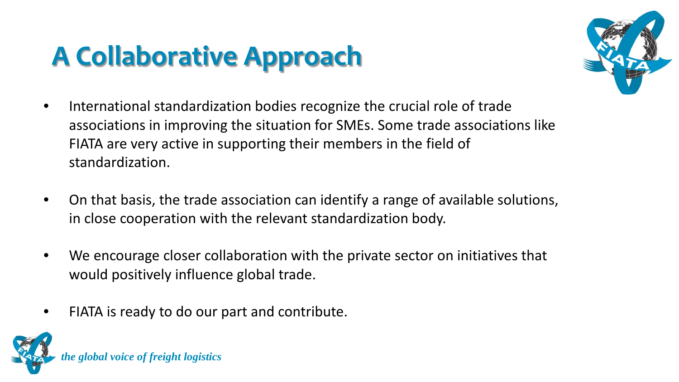# **A Collaborative Approach**



- International standardization bodies recognize the crucial role of trade associations in improving the situation for SMEs. Some trade associations like FIATA are very active in supporting their members in the field of standardization.
- On that basis, the trade association can identify a range of available solutions, in close cooperation with the relevant standardization body.
- We encourage closer collaboration with the private sector on initiatives that would positively influence global trade.
- FIATA is ready to do our part and contribute.